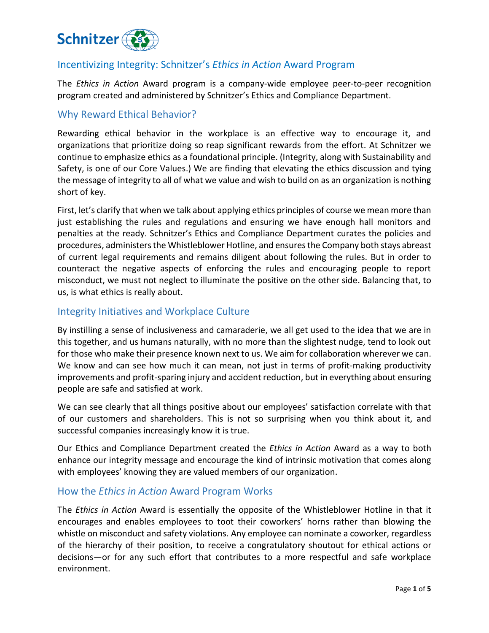

## Incentivizing Integrity: Schnitzer's *Ethics in Action* Award Program

The *Ethics in Action* Award program is a company-wide employee peer-to-peer recognition program created and administered by Schnitzer's Ethics and Compliance Department.

#### Why Reward Ethical Behavior?

Rewarding ethical behavior in the workplace is an effective way to encourage it, and organizations that prioritize doing so reap significant rewards from the effort. At Schnitzer we continue to emphasize ethics as a foundational principle. (Integrity, along with Sustainability and Safety, is one of our Core Values.) We are finding that elevating the ethics discussion and tying the message of integrity to all of what we value and wish to build on as an organization is nothing short of key.

First, let's clarify that when we talk about applying ethics principles of course we mean more than just establishing the rules and regulations and ensuring we have enough hall monitors and penalties at the ready. Schnitzer's Ethics and Compliance Department curates the policies and procedures, administersthe Whistleblower Hotline, and ensures the Company both stays abreast of current legal requirements and remains diligent about following the rules. But in order to counteract the negative aspects of enforcing the rules and encouraging people to report misconduct, we must not neglect to illuminate the positive on the other side. Balancing that, to us, is what ethics is really about.

#### Integrity Initiatives and Workplace Culture

By instilling a sense of inclusiveness and camaraderie, we all get used to the idea that we are in this together, and us humans naturally, with no more than the slightest nudge, tend to look out for those who make their presence known next to us. We aim for collaboration wherever we can. We know and can see how much it can mean, not just in terms of profit-making productivity improvements and profit-sparing injury and accident reduction, but in everything about ensuring people are safe and satisfied at work.

We can see clearly that all things positive about our employees' satisfaction correlate with that of our customers and shareholders. This is not so surprising when you think about it, and successful companies increasingly know it is true.

Our Ethics and Compliance Department created the *Ethics in Action* Award as a way to both enhance our integrity message and encourage the kind of intrinsic motivation that comes along with employees' knowing they are valued members of our organization.

#### How the *Ethics in Action* Award Program Works

The *Ethics in Action* Award is essentially the opposite of the Whistleblower Hotline in that it encourages and enables employees to toot their coworkers' horns rather than blowing the whistle on misconduct and safety violations. Any employee can nominate a coworker, regardless of the hierarchy of their position, to receive a congratulatory shoutout for ethical actions or decisions—or for any such effort that contributes to a more respectful and safe workplace environment.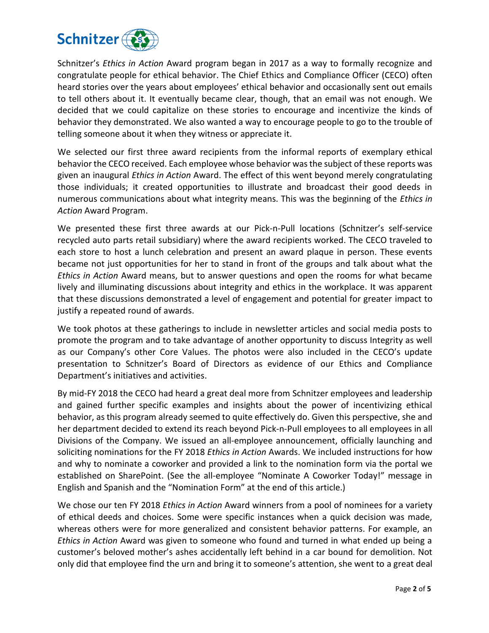

Schnitzer's *Ethics in Action* Award program began in 2017 as a way to formally recognize and congratulate people for ethical behavior. The Chief Ethics and Compliance Officer (CECO) often heard stories over the years about employees' ethical behavior and occasionally sent out emails to tell others about it. It eventually became clear, though, that an email was not enough. We decided that we could capitalize on these stories to encourage and incentivize the kinds of behavior they demonstrated. We also wanted a way to encourage people to go to the trouble of telling someone about it when they witness or appreciate it.

We selected our first three award recipients from the informal reports of exemplary ethical behavior the CECO received. Each employee whose behavior was the subject of these reports was given an inaugural *Ethics in Action* Award. The effect of this went beyond merely congratulating those individuals; it created opportunities to illustrate and broadcast their good deeds in numerous communications about what integrity means. This was the beginning of the *Ethics in Action* Award Program.

We presented these first three awards at our Pick-n-Pull locations (Schnitzer's self-service recycled auto parts retail subsidiary) where the award recipients worked. The CECO traveled to each store to host a lunch celebration and present an award plaque in person. These events became not just opportunities for her to stand in front of the groups and talk about what the *Ethics in Action* Award means, but to answer questions and open the rooms for what became lively and illuminating discussions about integrity and ethics in the workplace. It was apparent that these discussions demonstrated a level of engagement and potential for greater impact to justify a repeated round of awards.

We took photos at these gatherings to include in newsletter articles and social media posts to promote the program and to take advantage of another opportunity to discuss Integrity as well as our Company's other Core Values. The photos were also included in the CECO's update presentation to Schnitzer's Board of Directors as evidence of our Ethics and Compliance Department's initiatives and activities.

By mid-FY 2018 the CECO had heard a great deal more from Schnitzer employees and leadership and gained further specific examples and insights about the power of incentivizing ethical behavior, as this program already seemed to quite effectively do. Given this perspective, she and her department decided to extend its reach beyond Pick-n-Pull employees to all employees in all Divisions of the Company. We issued an all-employee announcement, officially launching and soliciting nominations for the FY 2018 *Ethics in Action* Awards. We included instructions for how and why to nominate a coworker and provided a link to the nomination form via the portal we established on SharePoint. (See the all-employee "Nominate A Coworker Today!" message in English and Spanish and the "Nomination Form" at the end of this article.)

We chose our ten FY 2018 *Ethics in Action* Award winners from a pool of nominees for a variety of ethical deeds and choices. Some were specific instances when a quick decision was made, whereas others were for more generalized and consistent behavior patterns. For example, an *Ethics in Action* Award was given to someone who found and turned in what ended up being a customer's beloved mother's ashes accidentally left behind in a car bound for demolition. Not only did that employee find the urn and bring it to someone's attention, she went to a great deal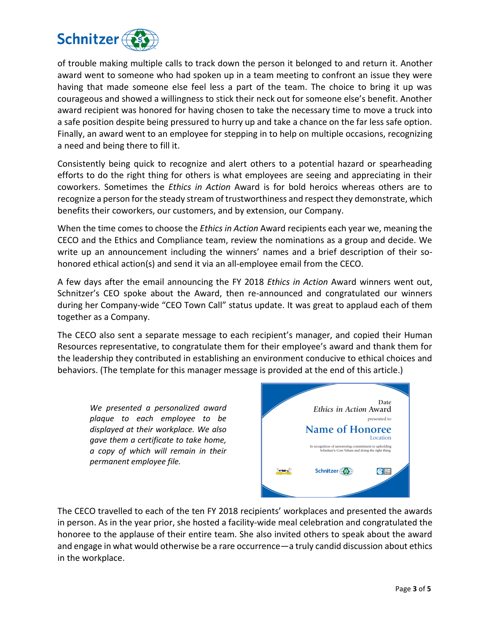

of trouble making multiple calls to track down the person it belonged to and return it. Another award went to someone who had spoken up in a team meeting to confront an issue they were having that made someone else feel less a part of the team. The choice to bring it up was courageous and showed a willingness to stick their neck out for someone else's benefit. Another award recipient was honored for having chosen to take the necessary time to move a truck into a safe position despite being pressured to hurry up and take a chance on the far less safe option. Finally, an award went to an employee for stepping in to help on multiple occasions, recognizing a need and being there to fill it.

Consistently being quick to recognize and alert others to a potential hazard or spearheading efforts to do the right thing for others is what employees are seeing and appreciating in their coworkers. Sometimes the *Ethics in Action* Award is for bold heroics whereas others are to recognize a person for the steady stream of trustworthiness and respect they demonstrate, which benefits their coworkers, our customers, and by extension, our Company.

When the time comes to choose the *Ethics in Action* Award recipients each year we, meaning the CECO and the Ethics and Compliance team, review the nominations as a group and decide. We write up an announcement including the winners' names and a brief description of their sohonored ethical action(s) and send it via an all-employee email from the CECO.

A few days after the email announcing the FY 2018 *Ethics in Action* Award winners went out, Schnitzer's CEO spoke about the Award, then re-announced and congratulated our winners during her Company-wide "CEO Town Call" status update. It was great to applaud each of them together as a Company.

The CECO also sent a separate message to each recipient's manager, and copied their Human Resources representative, to congratulate them for their employee's award and thank them for the leadership they contributed in establishing an environment conducive to ethical choices and behaviors. (The template for this manager message is provided at the end of this article.)

*We presented a personalized award plaque to each employee to be displayed at their workplace. We also gave them a certificate to take home, a copy of which will remain in their permanent employee file.*



The CECO travelled to each of the ten FY 2018 recipients' workplaces and presented the awards in person. As in the year prior, she hosted a facility-wide meal celebration and congratulated the honoree to the applause of their entire team. She also invited others to speak about the award and engage in what would otherwise be a rare occurrence—a truly candid discussion about ethics in the workplace.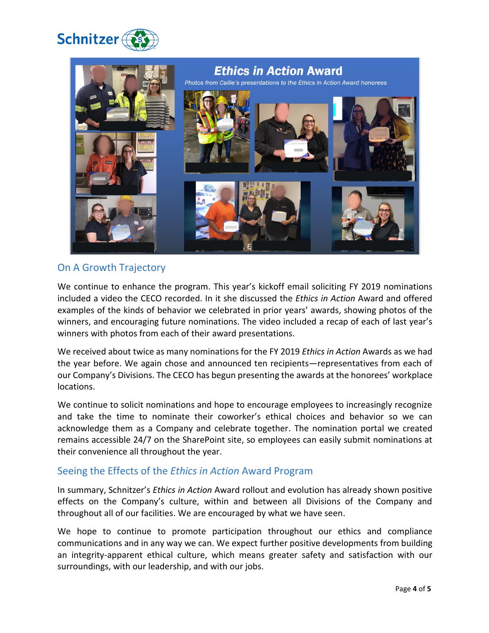



## On A Growth Trajectory

We continue to enhance the program. This year's kickoff email soliciting FY 2019 nominations included a video the CECO recorded. In it she discussed the *Ethics in Action* Award and offered examples of the kinds of behavior we celebrated in prior years' awards, showing photos of the winners, and encouraging future nominations. The video included a recap of each of last year's winners with photos from each of their award presentations.

We received about twice as many nominations for the FY 2019 *Ethics in Action* Awards as we had the year before. We again chose and announced ten recipients—representatives from each of our Company's Divisions. The CECO has begun presenting the awards at the honorees' workplace locations.

We continue to solicit nominations and hope to encourage employees to increasingly recognize and take the time to nominate their coworker's ethical choices and behavior so we can acknowledge them as a Company and celebrate together. The nomination portal we created remains accessible 24/7 on the SharePoint site, so employees can easily submit nominations at their convenience all throughout the year.

#### Seeing the Effects of the *Ethics in Action* Award Program

In summary, Schnitzer's *Ethics in Action* Award rollout and evolution has already shown positive effects on the Company's culture, within and between all Divisions of the Company and throughout all of our facilities. We are encouraged by what we have seen.

We hope to continue to promote participation throughout our ethics and compliance communications and in any way we can. We expect further positive developments from building an integrity-apparent ethical culture, which means greater safety and satisfaction with our surroundings, with our leadership, and with our jobs.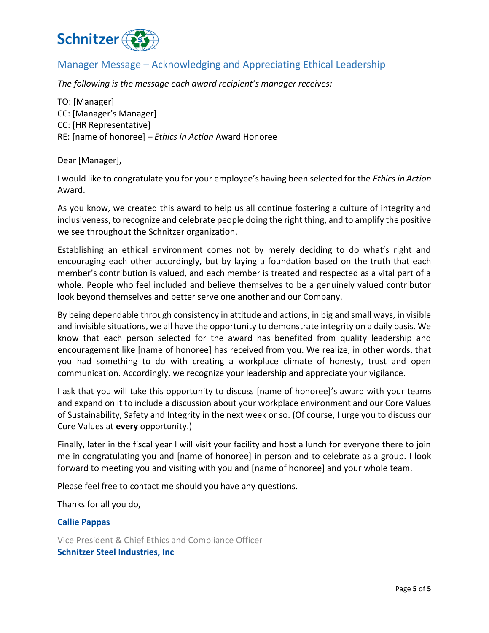

## Manager Message – Acknowledging and Appreciating Ethical Leadership

*The following is the message each award recipient's manager receives:*

TO: [Manager] CC: [Manager's Manager] CC: [HR Representative] RE: [name of honoree] *– Ethics in Action* Award Honoree

Dear [Manager],

I would like to congratulate you for your employee's having been selected for the *Ethics in Action* Award.

As you know, we created this award to help us all continue fostering a culture of integrity and inclusiveness, to recognize and celebrate people doing the right thing, and to amplify the positive we see throughout the Schnitzer organization.

Establishing an ethical environment comes not by merely deciding to do what's right and encouraging each other accordingly, but by laying a foundation based on the truth that each member's contribution is valued, and each member is treated and respected as a vital part of a whole. People who feel included and believe themselves to be a genuinely valued contributor look beyond themselves and better serve one another and our Company.

By being dependable through consistency in attitude and actions, in big and small ways, in visible and invisible situations, we all have the opportunity to demonstrate integrity on a daily basis. We know that each person selected for the award has benefited from quality leadership and encouragement like [name of honoree] has received from you. We realize, in other words, that you had something to do with creating a workplace climate of honesty, trust and open communication. Accordingly, we recognize your leadership and appreciate your vigilance.

I ask that you will take this opportunity to discuss [name of honoree]'s award with your teams and expand on it to include a discussion about your workplace environment and our Core Values of Sustainability, Safety and Integrity in the next week or so. (Of course, I urge you to discuss our Core Values at **every** opportunity.)

Finally, later in the fiscal year I will visit your facility and host a lunch for everyone there to join me in congratulating you and [name of honoree] in person and to celebrate as a group. I look forward to meeting you and visiting with you and [name of honoree] and your whole team.

Please feel free to contact me should you have any questions.

Thanks for all you do,

#### **Callie Pappas**

Vice President & Chief Ethics and Compliance Officer **Schnitzer Steel Industries, Inc**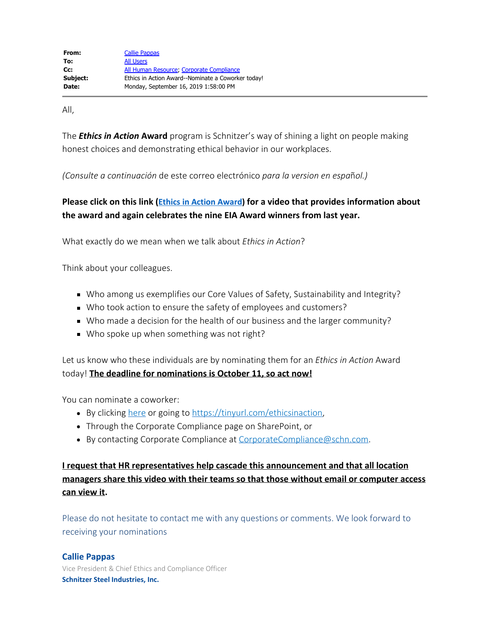All,

The *Ethics in Action* **Award** program is Schnitzer's way of shining a light on people making honest choices and demonstrating ethical behavior in our workplaces.

*(Consulte a continuación* de este correo electrónico *para la version en espa*ñ*ol.)*

## **Please click on this link [\(Ethics in Action Award](https://schnweb.sharepoint.com/portals/hub/_layouts/15/PointPublishing.aspx?app=video&p=p&chid=396172f9%2Df4eb%2D4795%2D8577%2D5012a2781f7b&vid=23f499f7%2De51e%2D4926%2Da5b8%2Df8cd6c44950d&from=1)) for a video that provides information about the award and again celebrates the nine EIA Award winners from last year.**

What exactly do we mean when we talk about *Ethics in Action*?

Think about your colleagues.

- Who among us exemplifies our Core Values of Safety, Sustainability and Integrity?
- Who took action to ensure the safety of employees and customers?
- Who made a decision for the health of our business and the larger community?
- Who spoke up when something was not right?

Let us know who these individuals are by nominating them for an *Ethics in Action* Award today! **The deadline for nominations is October 11, so act now!**

You can nominate a coworker:

- By clicking [here](https://forms.office.com/Pages/ResponsePage.aspx?id=uK53L4xKuE6nUqD_TedjqkysaNVSf8pEpL9MS2zryuBURDFPTzE1NVhEVVlCM0tHVzBGMFpCUTRLNSQlQCN0PWcu) or going to <https://tinyurl.com/ethicsinaction>,
- Through the Corporate Compliance page on SharePoint, or
- By contacting Corporate Compliance at [CorporateCompliance@schn.com](mailto:CorporateCompliance@schn.com).

**I request that HR representatives help cascade this announcement and that all location managers share this video with their teams so that those without email or computer access can view it.**

Please do not hesitate to contact me with any questions or comments. We look forward to receiving your nominations

#### **Callie Pappas**

Vice President & Chief Ethics and Compliance Officer **Schnitzer Steel Industries, Inc.**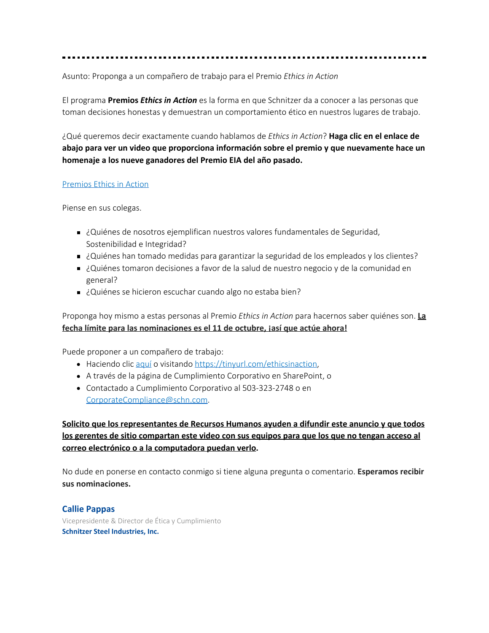Asunto: Proponga a un compañero de trabajo para el Premio *Ethics in Action*

El programa **Premios** *Ethics in Action* es la forma en que Schnitzer da a conocer a las personas que toman decisiones honestas y demuestran un comportamiento ético en nuestros lugares de trabajo.

¿Qué queremos decir exactamente cuando hablamos de *Ethics in Action*? **Haga clic en el enlace de abajo para ver un video que proporciona información sobre el premio y que nuevamente hace un homenaje a los nueve ganadores del Premio EIA del año pasado.**

#### [Premios](https://schnweb.sharepoint.com/portals/hub/_layouts/15/PointPublishing.aspx?app=video&p=p&chid=396172f9%2Df4eb%2D4795%2D8577%2D5012a2781f7b&vid=23f499f7%2De51e%2D4926%2Da5b8%2Df8cd6c44950d&from=1) Ethics in Action

Piense en sus colegas.

- ¿Quiénes de nosotros ejemplifican nuestros valores fundamentales de Seguridad, Sostenibilidad e Integridad?
- ¿Quiénes han tomado medidas para garantizar la seguridad de los empleados y los clientes?
- ¿Quiénes tomaron decisiones a favor de la salud de nuestro negocio y de la comunidad en general?
- ¿Quiénes se hicieron escuchar cuando algo no estaba bien?

Proponga hoy mismo a estas personas al Premio *Ethics in Action* para hacernos saber quiénes son. **La fecha límite para las nominaciones es el 11 de octubre, ¡así que actúe ahora!**

Puede proponer a un compañero de trabajo:

- Haciendo clic [aquí](https://forms.office.com/Pages/ResponsePage.aspx?id=uK53L4xKuE6nUqD_TedjqkysaNVSf8pEpL9MS2zryuBURDFPTzE1NVhEVVlCM0tHVzBGMFpCUTRLNSQlQCN0PWcu) o visitando <https://tinyurl.com/ethicsinaction>,
- A través de la página de Cumplimiento Corporativo en SharePoint, o
- Contactado a Cumplimiento Corporativo al 503-323-2748 o en [CorporateCompliance@schn.com](mailto:CorporateCompliance@schn.com).

**Solicito que los representantes de Recursos Humanos ayuden a difundir este anuncio y que todos los gerentes de sitio compartan este video con sus equipos para que los que no tengan acceso al correo electrónico o a la computadora puedan verlo.**

No dude en ponerse en contacto conmigo si tiene alguna pregunta o comentario. **Esperamos recibir sus nominaciones.**

#### **Callie Pappas**

Vicepresidente & Director de Ética y Cumplimiento **Schnitzer Steel Industries, Inc.**